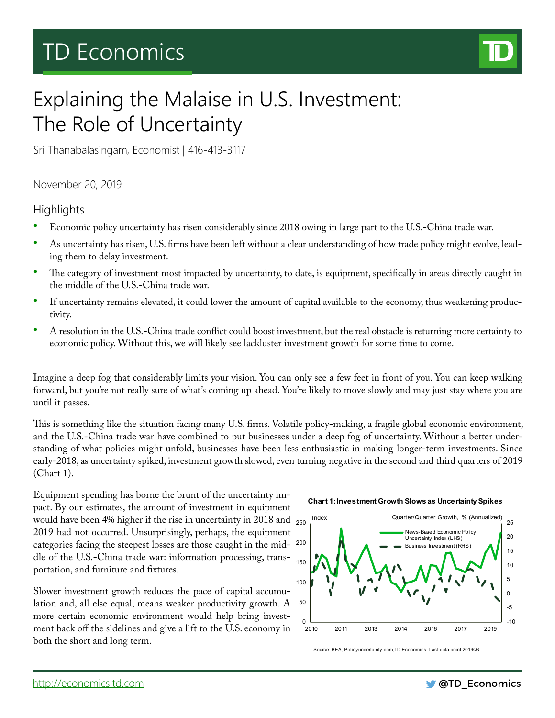# TD Economics



## Explaining the Malaise in U.S. Investment: The Role of Uncertainty

Sri Thanabalasingam, Economist | 416-413-3117

November 20, 2019

## **Highlights**

- Economic policy uncertainty has risen considerably since 2018 owing in large part to the U.S.-China trade war.
- As uncertainty has risen, U.S. firms have been left without a clear understanding of how trade policy might evolve, leading them to delay investment.
- The category of investment most impacted by uncertainty, to date, is equipment, specifically in areas directly caught in the middle of the U.S.-China trade war.
- If uncertainty remains elevated, it could lower the amount of capital available to the economy, thus weakening productivity.
- A resolution in the U.S.-China trade conflict could boost investment, but the real obstacle is returning more certainty to economic policy. Without this, we will likely see lackluster investment growth for some time to come.

Imagine a deep fog that considerably limits your vision. You can only see a few feet in front of you. You can keep walking forward, but you're not really sure of what's coming up ahead. You're likely to move slowly and may just stay where you are until it passes.

This is something like the situation facing many U.S. firms. Volatile policy-making, a fragile global economic environment, and the U.S.-China trade war have combined to put businesses under a deep fog of uncertainty. Without a better understanding of what policies might unfold, businesses have been less enthusiastic in making longer-term investments. Since early-2018, as uncertainty spiked, investment growth slowed, even turning negative in the second and third quarters of 2019 (Chart 1).

Equipment spending has borne the brunt of the uncertainty impact. By our estimates, the amount of investment in equipment would have been 4% higher if the rise in uncertainty in 2018 and  $_{250}$ 2019 had not occurred. Unsurprisingly, perhaps, the equipment categories facing the steepest losses are those caught in the mid-200 dle of the U.S.-China trade war: information processing, transportation, and furniture and fixtures.

Slower investment growth reduces the pace of capital accumulation and, all else equal, means weaker productivity growth. A more certain economic environment would help bring investment back off the sidelines and give a lift to the U.S. economy in both the short and long term.

**Chart 1: Investment Growth Slows as Uncertainty Spikes**



Source: BEA, Policyuncertainty.com,TD Economics. Last data point 2019Q3.

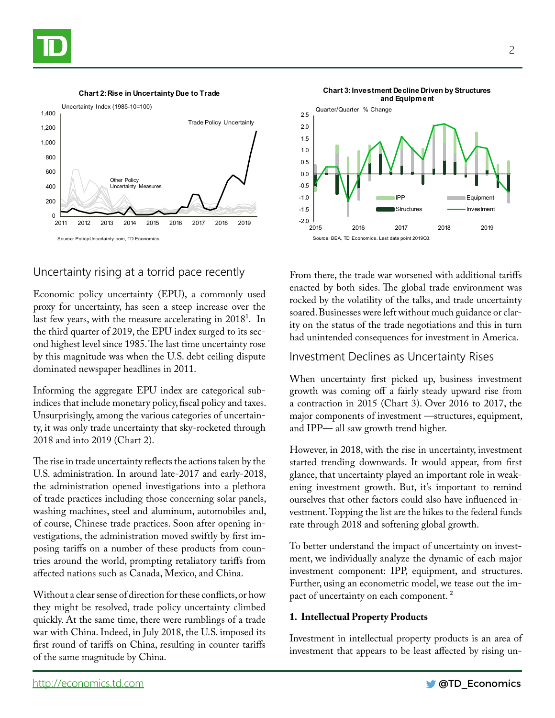

#### **Chart 2: Rise in Uncertainty Due to Trade**



### Uncertainty rising at a torrid pace recently

Economic policy uncertainty (EPU), a commonly used proxy for uncertainty, has seen a steep increase over the last few years, with the measure accelerating in 20181. In the third quarter of 2019, the EPU index surged to its second highest level since 1985. The last time uncertainty rose by this magnitude was when the U.S. debt ceiling dispute dominated newspaper headlines in 2011.

Informing the aggregate EPU index are categorical subindices that include monetary policy, fiscal policy and taxes. Unsurprisingly, among the various categories of uncertainty, it was only trade uncertainty that sky-rocketed through 2018 and into 2019 (Chart 2).

The rise in trade uncertainty reflects the actions taken by the U.S. administration. In around late-2017 and early-2018, the administration opened investigations into a plethora of trade practices including those concerning solar panels, washing machines, steel and aluminum, automobiles and, of course, Chinese trade practices. Soon after opening investigations, the administration moved swiftly by first imposing tariffs on a number of these products from countries around the world, prompting retaliatory tariffs from affected nations such as Canada, Mexico, and China.

Without a clear sense of direction for these conflicts, or how they might be resolved, trade policy uncertainty climbed quickly. At the same time, there were rumblings of a trade war with China. Indeed, in July 2018, the U.S. imposed its first round of tariffs on China, resulting in counter tariffs of the same magnitude by China.



From there, the trade war worsened with additional tariffs enacted by both sides. The global trade environment was rocked by the volatility of the talks, and trade uncertainty soared. Businesses were left without much guidance or clarity on the status of the trade negotiations and this in turn had unintended consequences for investment in America.

#### Investment Declines as Uncertainty Rises

When uncertainty first picked up, business investment growth was coming off a fairly steady upward rise from a contraction in 2015 (Chart 3). Over 2016 to 2017, the major components of investment —structures, equipment, and IPP— all saw growth trend higher.

However, in 2018, with the rise in uncertainty, investment started trending downwards. It would appear, from first glance, that uncertainty played an important role in weakening investment growth. But, it's important to remind ourselves that other factors could also have influenced investment. Topping the list are the hikes to the federal funds rate through 2018 and softening global growth.

To better understand the impact of uncertainty on investment, we individually analyze the dynamic of each major investment component: IPP, equipment, and structures. Further, using an econometric model, we tease out the impact of uncertainty on each component.<sup>2</sup>

#### **1. Intellectual Property Products**

Investment in intellectual property products is an area of investment that appears to be least affected by rising un-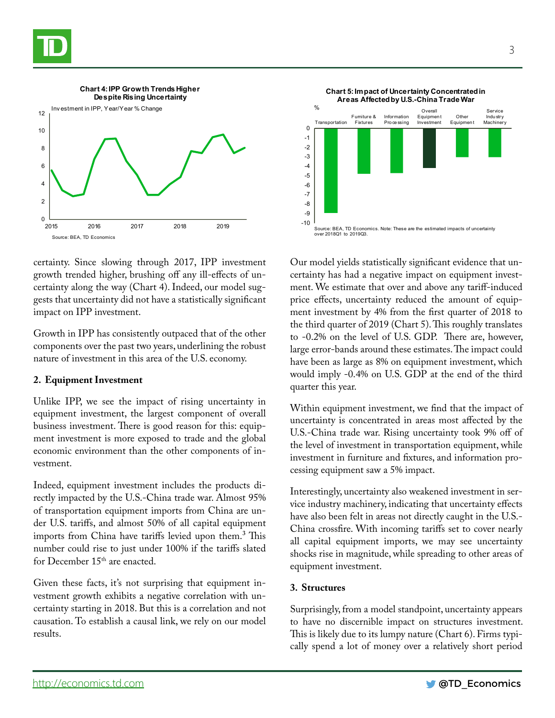



certainty. Since slowing through 2017, IPP investment growth trended higher, brushing off any ill-effects of uncertainty along the way (Chart 4). Indeed, our model suggests that uncertainty did not have a statistically significant impact on IPP investment.

Growth in IPP has consistently outpaced that of the other components over the past two years, underlining the robust nature of investment in this area of the U.S. economy.

#### **2. Equipment Investment**

Unlike IPP, we see the impact of rising uncertainty in equipment investment, the largest component of overall business investment. There is good reason for this: equipment investment is more exposed to trade and the global economic environment than the other components of investment.

Indeed, equipment investment includes the products directly impacted by the U.S.-China trade war. Almost 95% of transportation equipment imports from China are under U.S. tariffs, and almost 50% of all capital equipment imports from China have tariffs levied upon them.<sup>3</sup> This number could rise to just under 100% if the tariffs slated for December 15<sup>th</sup> are enacted.

Given these facts, it's not surprising that equipment investment growth exhibits a negative correlation with uncertainty starting in 2018. But this is a correlation and not causation. To establish a causal link, we rely on our model results.



Our model yields statistically significant evidence that uncertainty has had a negative impact on equipment investment. We estimate that over and above any tariff-induced price effects, uncertainty reduced the amount of equipment investment by 4% from the first quarter of 2018 to the third quarter of 2019 (Chart 5). This roughly translates to -0.2% on the level of U.S. GDP. There are, however, large error-bands around these estimates. The impact could have been as large as 8% on equipment investment, which would imply -0.4% on U.S. GDP at the end of the third quarter this year.

Within equipment investment, we find that the impact of uncertainty is concentrated in areas most affected by the U.S.-China trade war. Rising uncertainty took 9% off of the level of investment in transportation equipment, while investment in furniture and fixtures, and information processing equipment saw a 5% impact.

Interestingly, uncertainty also weakened investment in service industry machinery, indicating that uncertainty effects have also been felt in areas not directly caught in the U.S.- China crossfire. With incoming tariffs set to cover nearly all capital equipment imports, we may see uncertainty shocks rise in magnitude, while spreading to other areas of equipment investment.

#### **3. Structures**

Surprisingly, from a model standpoint, uncertainty appears to have no discernible impact on structures investment. This is likely due to its lumpy nature (Chart 6). Firms typically spend a lot of money over a relatively short period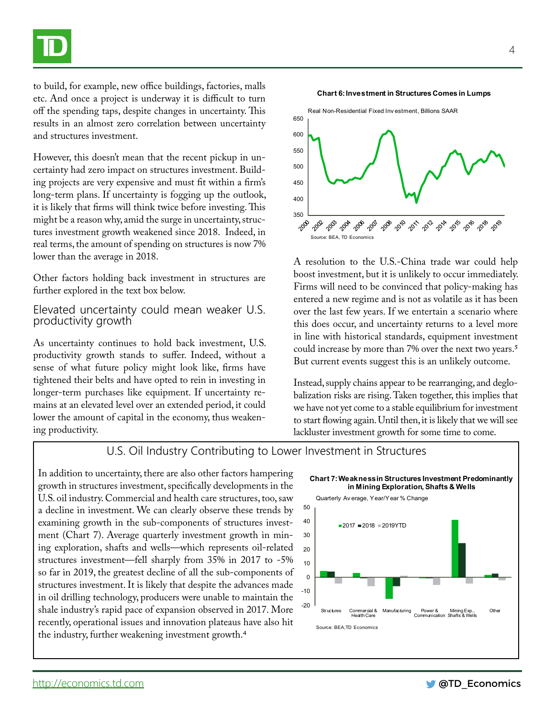to build, for example, new office buildings, factories, malls etc. And once a project is underway it is difficult to turn off the spending taps, despite changes in uncertainty. This results in an almost zero correlation between uncertainty and structures investment.

However, this doesn't mean that the recent pickup in uncertainty had zero impact on structures investment. Building projects are very expensive and must fit within a firm's long-term plans. If uncertainty is fogging up the outlook, it is likely that firms will think twice before investing. This might be a reason why, amid the surge in uncertainty, structures investment growth weakened since 2018. Indeed, in real terms, the amount of spending on structures is now 7% lower than the average in 2018.

Other factors holding back investment in structures are further explored in the text box below.

#### Elevated uncertainty could mean weaker U.S. productivity growth

As uncertainty continues to hold back investment, U.S. productivity growth stands to suffer. Indeed, without a sense of what future policy might look like, firms have tightened their belts and have opted to rein in investing in longer-term purchases like equipment. If uncertainty remains at an elevated level over an extended period, it could lower the amount of capital in the economy, thus weakening productivity.



A resolution to the U.S.-China trade war could help boost investment, but it is unlikely to occur immediately. Firms will need to be convinced that policy-making has entered a new regime and is not as volatile as it has been over the last few years. If we entertain a scenario where this does occur, and uncertainty returns to a level more in line with historical standards, equipment investment could increase by more than 7% over the next two years.<sup>5</sup> But current events suggest this is an unlikely outcome.

Instead, supply chains appear to be rearranging, and deglobalization risks are rising. Taken together, this implies that we have not yet come to a stable equilibrium for investment to start flowing again. Until then, it is likely that we will see lackluster investment growth for some time to come.

## U.S. Oil Industry Contributing to Lower Investment in Structures

In addition to uncertainty, there are also other factors hampering growth in structures investment, specifically developments in the U.S. oil industry. Commercial and health care structures, too, saw a decline in investment. We can clearly observe these trends by examining growth in the sub-components of structures investment (Chart 7). Average quarterly investment growth in mining exploration, shafts and wells—which represents oil-related structures investment—fell sharply from 35% in 2017 to -5% so far in 2019, the greatest decline of all the sub-components of structures investment. It is likely that despite the advances made in oil drilling technology, producers were unable to maintain the shale industry's rapid pace of expansion observed in 2017. More recently, operational issues and innovation plateaus have also hit the industry, further weakening investment growth.4



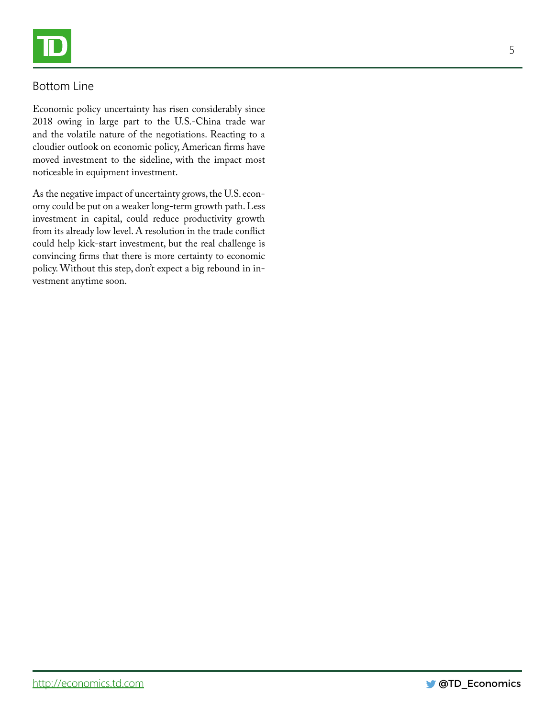## Bottom Line

Economic policy uncertainty has risen considerably since 2018 owing in large part to the U.S.-China trade war and the volatile nature of the negotiations. Reacting to a cloudier outlook on economic policy, American firms have moved investment to the sideline, with the impact most noticeable in equipment investment.

As the negative impact of uncertainty grows, the U.S. economy could be put on a weaker long-term growth path. Less investment in capital, could reduce productivity growth from its already low level. A resolution in the trade conflict could help kick-start investment, but the real challenge is convincing firms that there is more certainty to economic policy. Without this step, don't expect a big rebound in investment anytime soon.